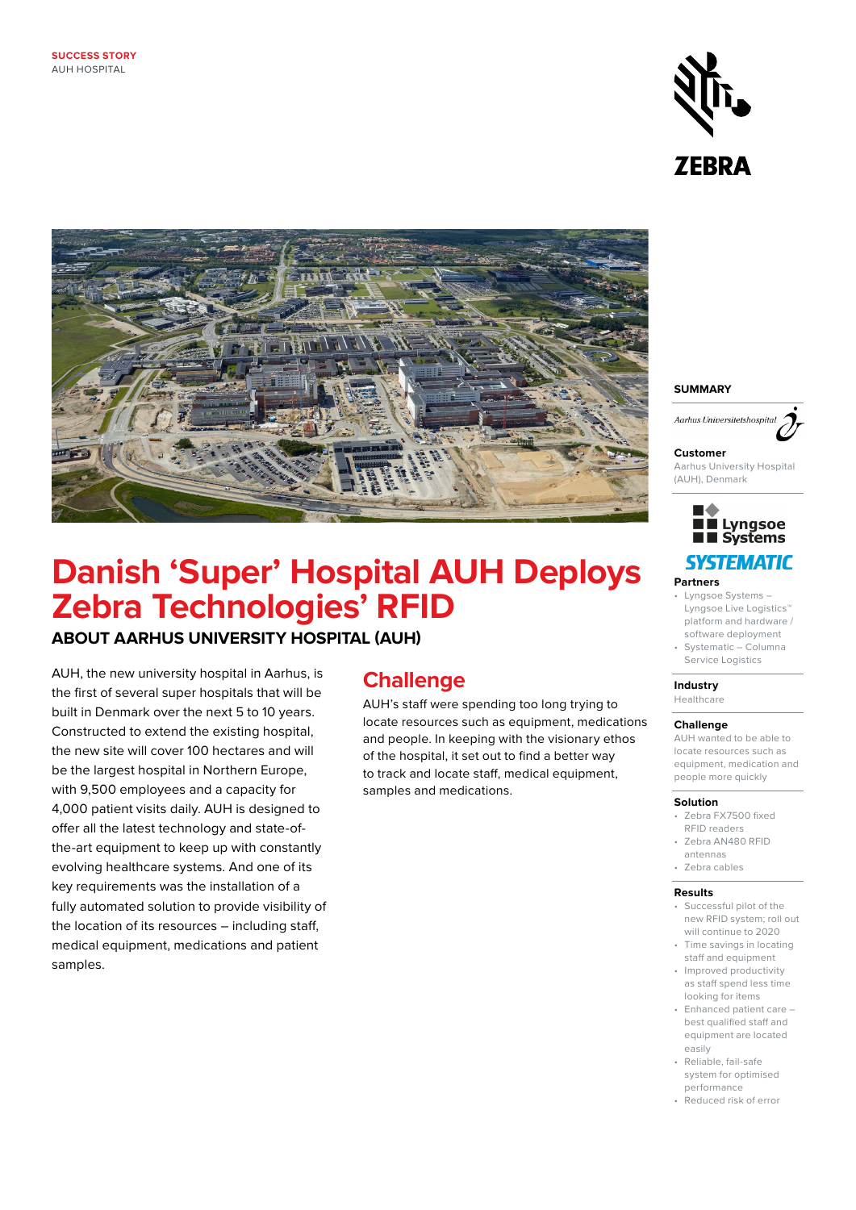



# **Danish 'Super' Hospital AUH Deploys Zebra Technologies' RFID**

### **ABOUT AARHUS UNIVERSITY HOSPITAL (AUH)**

AUH, the new university hospital in Aarhus, is the first of several super hospitals that will be built in Denmark over the next 5 to 10 years. Constructed to extend the existing hospital, the new site will cover 100 hectares and will be the largest hospital in Northern Europe, with 9,500 employees and a capacity for 4,000 patient visits daily. AUH is designed to offer all the latest technology and state-ofthe-art equipment to keep up with constantly evolving healthcare systems. And one of its key requirements was the installation of a fully automated solution to provide visibility of the location of its resources – including staff, medical equipment, medications and patient samples.

## **Challenge**

AUH's staff were spending too long trying to locate resources such as equipment, medications and people. In keeping with the visionary ethos of the hospital, it set out to find a better way to track and locate staff, medical equipment, samples and medications.

### **SUMMARY**



#### **Customer**

Aarhus University Hospital (AUH), Denmark



- **Partners**
- Lyngsoe Systems Lyngsoe Live Logistics™ platform and hardware /
- software deployment • Systematic – Columna Service Logistics

#### **Industry**  Healthcare

**Challenge**  AUH wanted to be able to locate resources such as equipment, medication and people more quickly

#### **Solution**

- Zebra FX7500 fixed RFID readers
- Zebra AN480 RFID
- antennas • Zebra cables
- 

### **Results**

- Successful pilot of the new RFID system; roll out will continue to 2020
- Time savings in locating staff and equipment
- Improved productivity as staff spend less time looking for items
- Enhanced patient care best qualified staff and equipment are located easily
- Reliable, fail-safe system for optimised performance
- Reduced risk of error